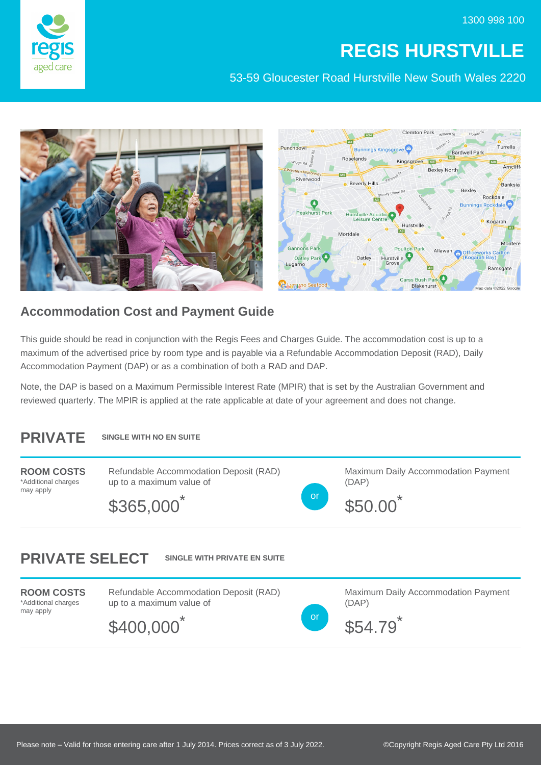1300 998 100



## **REGIS HURSTVILLE**

53-59 Gloucester Road Hurstville New South Wales 2220



## **Accommodation Cost and Payment Guide**

This guide should be read in conjunction with the Regis Fees and Charges Guide. The accommodation cost is up to a maximum of the advertised price by room type and is payable via a Refundable Accommodation Deposit (RAD), Daily Accommodation Payment (DAP) or as a combination of both a RAD and DAP.

Note, the DAP is based on a Maximum Permissible Interest Rate (MPIR) that is set by the Australian Government and reviewed quarterly. The MPIR is applied at the rate applicable at date of your agreement and does not change.

## **PRIVATE SINGLE WITH NO EN SUITE**